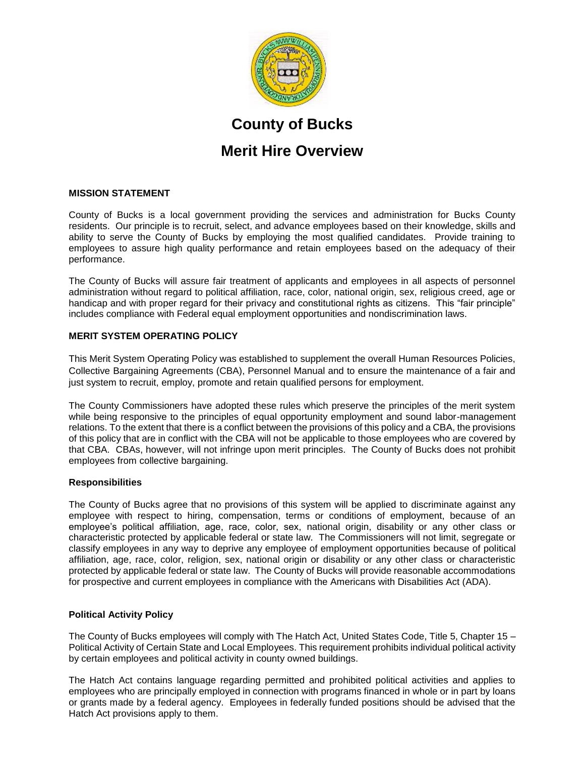

# **County of Bucks**

# **Merit Hire Overview**

# **MISSION STATEMENT**

County of Bucks is a local government providing the services and administration for Bucks County residents. Our principle is to recruit, select, and advance employees based on their knowledge, skills and ability to serve the County of Bucks by employing the most qualified candidates. Provide training to employees to assure high quality performance and retain employees based on the adequacy of their performance.

The County of Bucks will assure fair treatment of applicants and employees in all aspects of personnel administration without regard to political affiliation, race, color, national origin, sex, religious creed, age or handicap and with proper regard for their privacy and constitutional rights as citizens. This "fair principle" includes compliance with Federal equal employment opportunities and nondiscrimination laws.

# **MERIT SYSTEM OPERATING POLICY**

This Merit System Operating Policy was established to supplement the overall Human Resources Policies, Collective Bargaining Agreements (CBA), Personnel Manual and to ensure the maintenance of a fair and just system to recruit, employ, promote and retain qualified persons for employment.

The County Commissioners have adopted these rules which preserve the principles of the merit system while being responsive to the principles of equal opportunity employment and sound labor-management relations. To the extent that there is a conflict between the provisions of this policy and a CBA, the provisions of this policy that are in conflict with the CBA will not be applicable to those employees who are covered by that CBA. CBAs, however, will not infringe upon merit principles. The County of Bucks does not prohibit employees from collective bargaining.

#### **Responsibilities**

The County of Bucks agree that no provisions of this system will be applied to discriminate against any employee with respect to hiring, compensation, terms or conditions of employment, because of an employee's political affiliation, age, race, color, sex, national origin, disability or any other class or characteristic protected by applicable federal or state law. The Commissioners will not limit, segregate or classify employees in any way to deprive any employee of employment opportunities because of political affiliation, age, race, color, religion, sex, national origin or disability or any other class or characteristic protected by applicable federal or state law. The County of Bucks will provide reasonable accommodations for prospective and current employees in compliance with the Americans with Disabilities Act (ADA).

# **Political Activity Policy**

The County of Bucks employees will comply with The Hatch Act, United States Code, Title 5, Chapter 15 – Political Activity of Certain State and Local Employees. This requirement prohibits individual political activity by certain employees and political activity in county owned buildings.

The Hatch Act contains language regarding permitted and prohibited political activities and applies to employees who are principally employed in connection with programs financed in whole or in part by loans or grants made by a federal agency. Employees in federally funded positions should be advised that the Hatch Act provisions apply to them.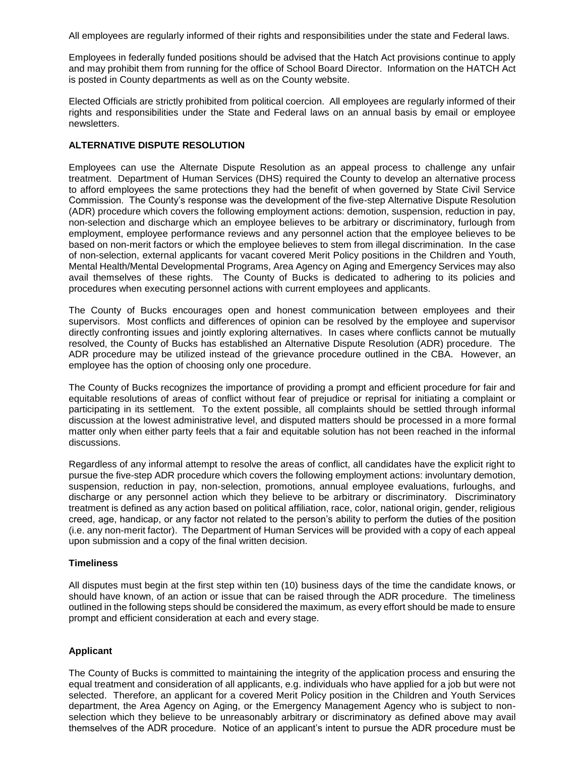All employees are regularly informed of their rights and responsibilities under the state and Federal laws.

Employees in federally funded positions should be advised that the Hatch Act provisions continue to apply and may prohibit them from running for the office of School Board Director. Information on the HATCH Act is posted in County departments as well as on the County website.

Elected Officials are strictly prohibited from political coercion. All employees are regularly informed of their rights and responsibilities under the State and Federal laws on an annual basis by email or employee newsletters.

#### **ALTERNATIVE DISPUTE RESOLUTION**

Employees can use the Alternate Dispute Resolution as an appeal process to challenge any unfair treatment. Department of Human Services (DHS) required the County to develop an alternative process to afford employees the same protections they had the benefit of when governed by State Civil Service Commission. The County's response was the development of the five-step Alternative Dispute Resolution (ADR) procedure which covers the following employment actions: demotion, suspension, reduction in pay, non-selection and discharge which an employee believes to be arbitrary or discriminatory, furlough from employment, employee performance reviews and any personnel action that the employee believes to be based on non-merit factors or which the employee believes to stem from illegal discrimination. In the case of non-selection, external applicants for vacant covered Merit Policy positions in the Children and Youth, Mental Health/Mental Developmental Programs, Area Agency on Aging and Emergency Services may also avail themselves of these rights. The County of Bucks is dedicated to adhering to its policies and procedures when executing personnel actions with current employees and applicants.

The County of Bucks encourages open and honest communication between employees and their supervisors. Most conflicts and differences of opinion can be resolved by the employee and supervisor directly confronting issues and jointly exploring alternatives. In cases where conflicts cannot be mutually resolved, the County of Bucks has established an Alternative Dispute Resolution (ADR) procedure. The ADR procedure may be utilized instead of the grievance procedure outlined in the CBA. However, an employee has the option of choosing only one procedure.

The County of Bucks recognizes the importance of providing a prompt and efficient procedure for fair and equitable resolutions of areas of conflict without fear of prejudice or reprisal for initiating a complaint or participating in its settlement. To the extent possible, all complaints should be settled through informal discussion at the lowest administrative level, and disputed matters should be processed in a more formal matter only when either party feels that a fair and equitable solution has not been reached in the informal discussions.

Regardless of any informal attempt to resolve the areas of conflict, all candidates have the explicit right to pursue the five-step ADR procedure which covers the following employment actions: involuntary demotion, suspension, reduction in pay, non-selection, promotions, annual employee evaluations, furloughs, and discharge or any personnel action which they believe to be arbitrary or discriminatory. Discriminatory treatment is defined as any action based on political affiliation, race, color, national origin, gender, religious creed, age, handicap, or any factor not related to the person's ability to perform the duties of the position (i.e. any non-merit factor). The Department of Human Services will be provided with a copy of each appeal upon submission and a copy of the final written decision.

#### **Timeliness**

All disputes must begin at the first step within ten (10) business days of the time the candidate knows, or should have known, of an action or issue that can be raised through the ADR procedure. The timeliness outlined in the following steps should be considered the maximum, as every effort should be made to ensure prompt and efficient consideration at each and every stage.

# **Applicant**

The County of Bucks is committed to maintaining the integrity of the application process and ensuring the equal treatment and consideration of all applicants, e.g. individuals who have applied for a job but were not selected. Therefore, an applicant for a covered Merit Policy position in the Children and Youth Services department, the Area Agency on Aging, or the Emergency Management Agency who is subject to nonselection which they believe to be unreasonably arbitrary or discriminatory as defined above may avail themselves of the ADR procedure. Notice of an applicant's intent to pursue the ADR procedure must be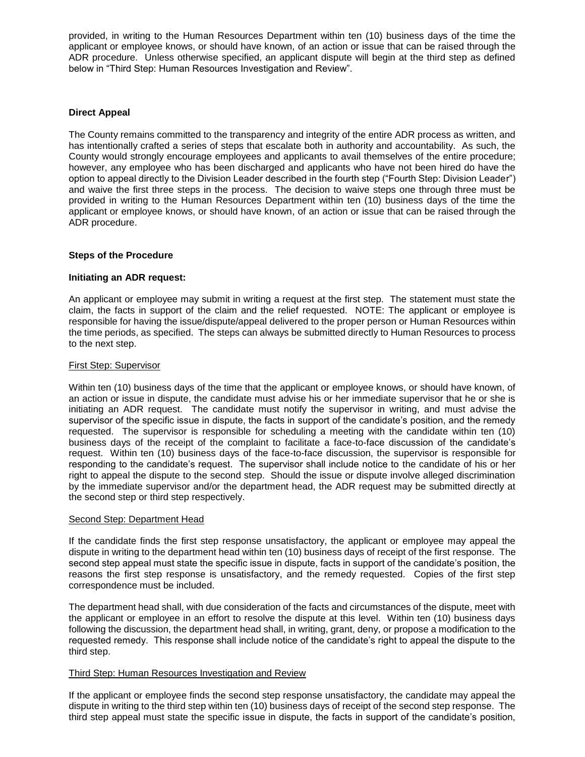provided, in writing to the Human Resources Department within ten (10) business days of the time the applicant or employee knows, or should have known, of an action or issue that can be raised through the ADR procedure. Unless otherwise specified, an applicant dispute will begin at the third step as defined below in "Third Step: Human Resources Investigation and Review".

#### **Direct Appeal**

The County remains committed to the transparency and integrity of the entire ADR process as written, and has intentionally crafted a series of steps that escalate both in authority and accountability. As such, the County would strongly encourage employees and applicants to avail themselves of the entire procedure; however, any employee who has been discharged and applicants who have not been hired do have the option to appeal directly to the Division Leader described in the fourth step ("Fourth Step: Division Leader") and waive the first three steps in the process. The decision to waive steps one through three must be provided in writing to the Human Resources Department within ten (10) business days of the time the applicant or employee knows, or should have known, of an action or issue that can be raised through the ADR procedure.

#### **Steps of the Procedure**

#### **Initiating an ADR request:**

An applicant or employee may submit in writing a request at the first step. The statement must state the claim, the facts in support of the claim and the relief requested. NOTE: The applicant or employee is responsible for having the issue/dispute/appeal delivered to the proper person or Human Resources within the time periods, as specified. The steps can always be submitted directly to Human Resources to process to the next step.

#### First Step: Supervisor

Within ten (10) business days of the time that the applicant or employee knows, or should have known, of an action or issue in dispute, the candidate must advise his or her immediate supervisor that he or she is initiating an ADR request. The candidate must notify the supervisor in writing, and must advise the supervisor of the specific issue in dispute, the facts in support of the candidate's position, and the remedy requested. The supervisor is responsible for scheduling a meeting with the candidate within ten (10) business days of the receipt of the complaint to facilitate a face-to-face discussion of the candidate's request. Within ten (10) business days of the face-to-face discussion, the supervisor is responsible for responding to the candidate's request. The supervisor shall include notice to the candidate of his or her right to appeal the dispute to the second step. Should the issue or dispute involve alleged discrimination by the immediate supervisor and/or the department head, the ADR request may be submitted directly at the second step or third step respectively.

#### Second Step: Department Head

If the candidate finds the first step response unsatisfactory, the applicant or employee may appeal the dispute in writing to the department head within ten (10) business days of receipt of the first response. The second step appeal must state the specific issue in dispute, facts in support of the candidate's position, the reasons the first step response is unsatisfactory, and the remedy requested. Copies of the first step correspondence must be included.

The department head shall, with due consideration of the facts and circumstances of the dispute, meet with the applicant or employee in an effort to resolve the dispute at this level. Within ten (10) business days following the discussion, the department head shall, in writing, grant, deny, or propose a modification to the requested remedy. This response shall include notice of the candidate's right to appeal the dispute to the third step.

#### Third Step: Human Resources Investigation and Review

If the applicant or employee finds the second step response unsatisfactory, the candidate may appeal the dispute in writing to the third step within ten (10) business days of receipt of the second step response. The third step appeal must state the specific issue in dispute, the facts in support of the candidate's position,